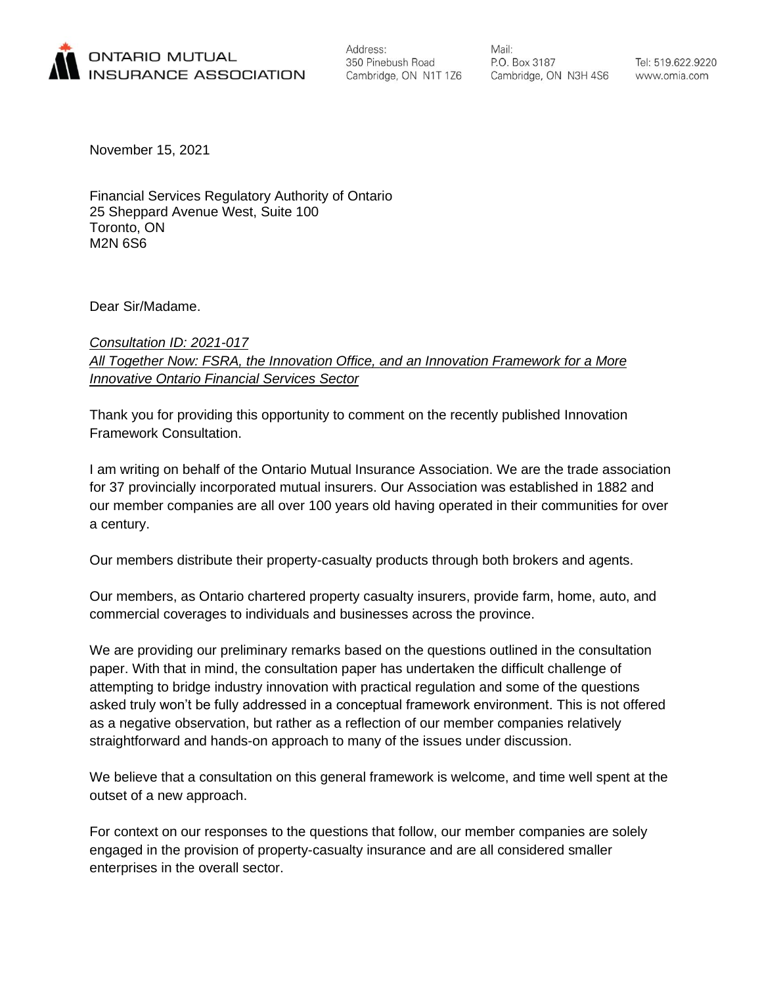

Address: 350 Pinebush Road Cambridge, ON N1T 1Z6 Mail: P.O. Box 3187 Cambridge, ON N3H 4S6

Tel: 519.622.9220 www.omia.com

November 15, 2021

Financial Services Regulatory Authority of Ontario 25 Sheppard Avenue West, Suite 100 Toronto, ON M2N 6S6

Dear Sir/Madame.

# *Consultation ID: 2021-017 All Together Now: FSRA, the Innovation Office, and an Innovation Framework for a More Innovative Ontario Financial Services Sector*

Thank you for providing this opportunity to comment on the recently published Innovation Framework Consultation.

I am writing on behalf of the Ontario Mutual Insurance Association. We are the trade association for 37 provincially incorporated mutual insurers. Our Association was established in 1882 and our member companies are all over 100 years old having operated in their communities for over a century.

Our members distribute their property-casualty products through both brokers and agents.

Our members, as Ontario chartered property casualty insurers, provide farm, home, auto, and commercial coverages to individuals and businesses across the province.

We are providing our preliminary remarks based on the questions outlined in the consultation paper. With that in mind, the consultation paper has undertaken the difficult challenge of attempting to bridge industry innovation with practical regulation and some of the questions asked truly won't be fully addressed in a conceptual framework environment. This is not offered as a negative observation, but rather as a reflection of our member companies relatively straightforward and hands-on approach to many of the issues under discussion.

We believe that a consultation on this general framework is welcome, and time well spent at the outset of a new approach.

For context on our responses to the questions that follow, our member companies are solely engaged in the provision of property-casualty insurance and are all considered smaller enterprises in the overall sector.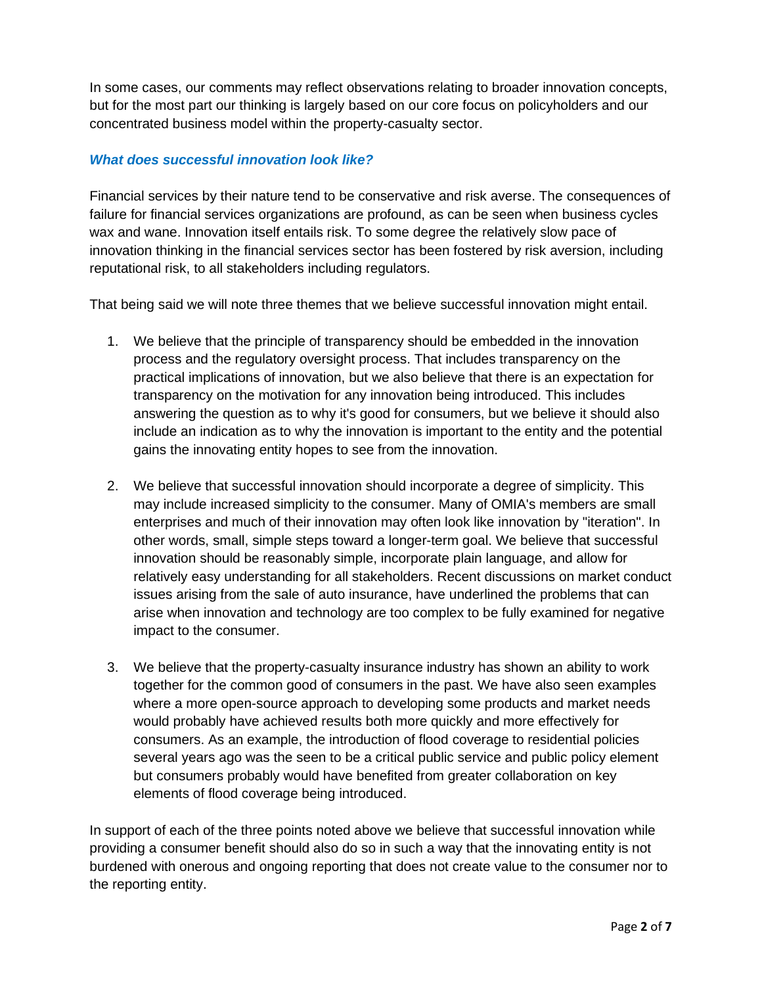In some cases, our comments may reflect observations relating to broader innovation concepts, but for the most part our thinking is largely based on our core focus on policyholders and our concentrated business model within the property-casualty sector.

## *What does successful innovation look like?*

Financial services by their nature tend to be conservative and risk averse. The consequences of failure for financial services organizations are profound, as can be seen when business cycles wax and wane. Innovation itself entails risk. To some degree the relatively slow pace of innovation thinking in the financial services sector has been fostered by risk aversion, including reputational risk, to all stakeholders including regulators.

That being said we will note three themes that we believe successful innovation might entail.

- 1. We believe that the principle of transparency should be embedded in the innovation process and the regulatory oversight process. That includes transparency on the practical implications of innovation, but we also believe that there is an expectation for transparency on the motivation for any innovation being introduced. This includes answering the question as to why it's good for consumers, but we believe it should also include an indication as to why the innovation is important to the entity and the potential gains the innovating entity hopes to see from the innovation.
- 2. We believe that successful innovation should incorporate a degree of simplicity. This may include increased simplicity to the consumer. Many of OMIA's members are small enterprises and much of their innovation may often look like innovation by "iteration". In other words, small, simple steps toward a longer-term goal. We believe that successful innovation should be reasonably simple, incorporate plain language, and allow for relatively easy understanding for all stakeholders. Recent discussions on market conduct issues arising from the sale of auto insurance, have underlined the problems that can arise when innovation and technology are too complex to be fully examined for negative impact to the consumer.
- 3. We believe that the property-casualty insurance industry has shown an ability to work together for the common good of consumers in the past. We have also seen examples where a more open-source approach to developing some products and market needs would probably have achieved results both more quickly and more effectively for consumers. As an example, the introduction of flood coverage to residential policies several years ago was the seen to be a critical public service and public policy element but consumers probably would have benefited from greater collaboration on key elements of flood coverage being introduced.

In support of each of the three points noted above we believe that successful innovation while providing a consumer benefit should also do so in such a way that the innovating entity is not burdened with onerous and ongoing reporting that does not create value to the consumer nor to the reporting entity.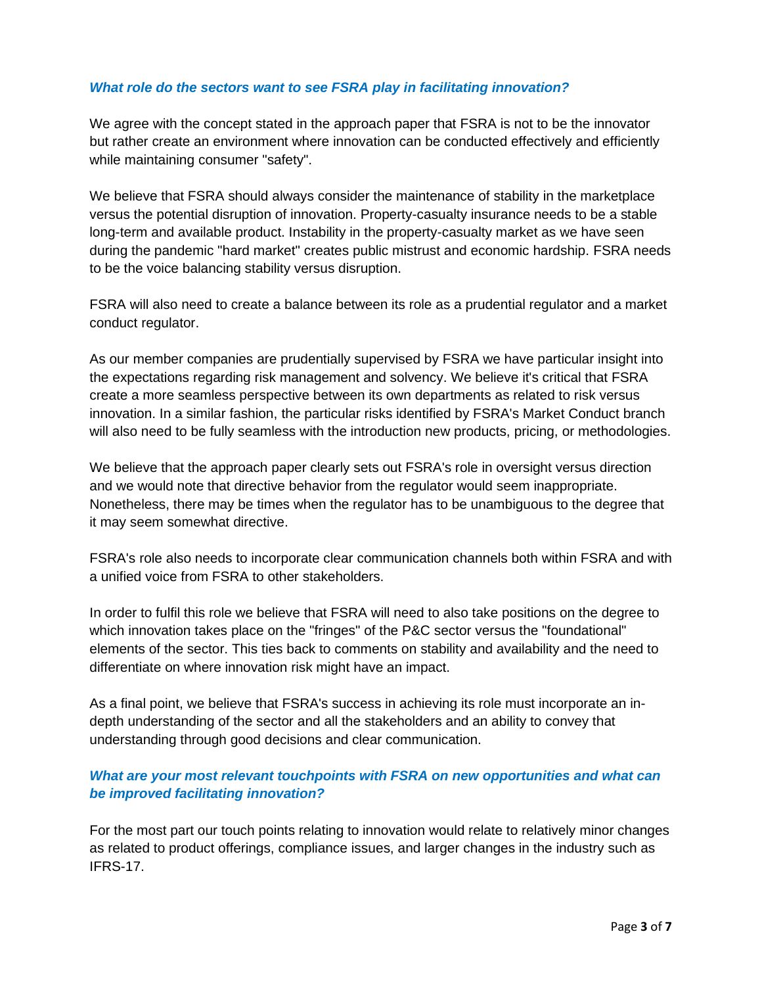### *What role do the sectors want to see FSRA play in facilitating innovation?*

We agree with the concept stated in the approach paper that FSRA is not to be the innovator but rather create an environment where innovation can be conducted effectively and efficiently while maintaining consumer "safety".

We believe that FSRA should always consider the maintenance of stability in the marketplace versus the potential disruption of innovation. Property-casualty insurance needs to be a stable long-term and available product. Instability in the property-casualty market as we have seen during the pandemic "hard market" creates public mistrust and economic hardship. FSRA needs to be the voice balancing stability versus disruption.

FSRA will also need to create a balance between its role as a prudential regulator and a market conduct regulator.

As our member companies are prudentially supervised by FSRA we have particular insight into the expectations regarding risk management and solvency. We believe it's critical that FSRA create a more seamless perspective between its own departments as related to risk versus innovation. In a similar fashion, the particular risks identified by FSRA's Market Conduct branch will also need to be fully seamless with the introduction new products, pricing, or methodologies.

We believe that the approach paper clearly sets out FSRA's role in oversight versus direction and we would note that directive behavior from the regulator would seem inappropriate. Nonetheless, there may be times when the regulator has to be unambiguous to the degree that it may seem somewhat directive.

FSRA's role also needs to incorporate clear communication channels both within FSRA and with a unified voice from FSRA to other stakeholders.

In order to fulfil this role we believe that FSRA will need to also take positions on the degree to which innovation takes place on the "fringes" of the P&C sector versus the "foundational" elements of the sector. This ties back to comments on stability and availability and the need to differentiate on where innovation risk might have an impact.

As a final point, we believe that FSRA's success in achieving its role must incorporate an indepth understanding of the sector and all the stakeholders and an ability to convey that understanding through good decisions and clear communication.

# *What are your most relevant touchpoints with FSRA on new opportunities and what can be improved facilitating innovation?*

For the most part our touch points relating to innovation would relate to relatively minor changes as related to product offerings, compliance issues, and larger changes in the industry such as IFRS-17.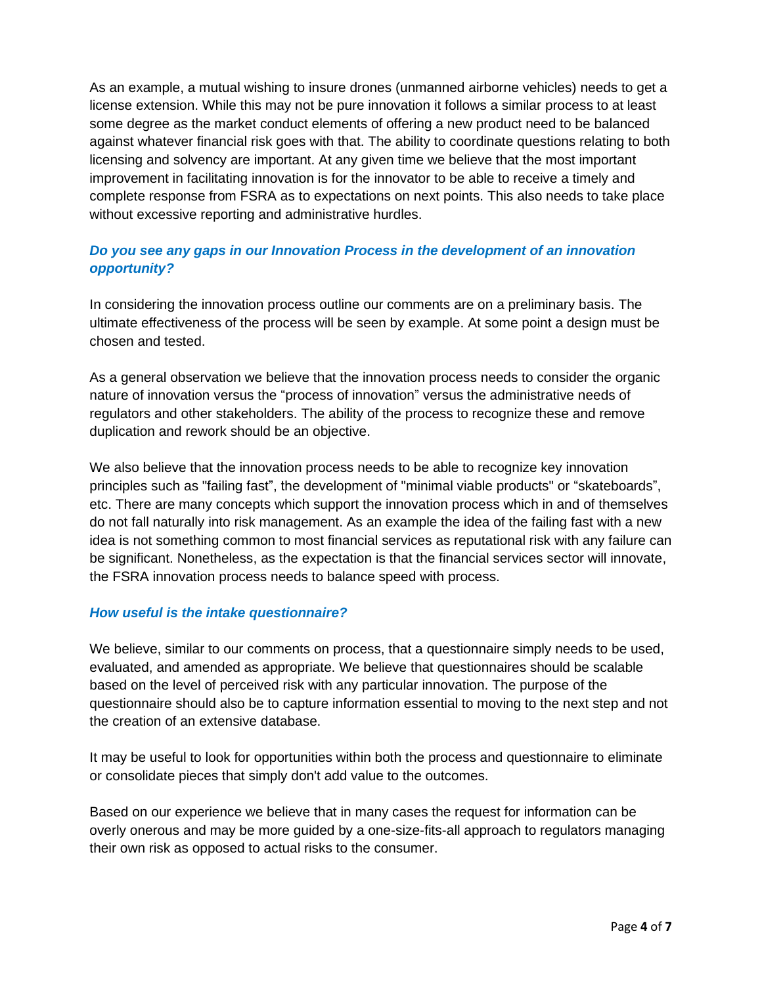As an example, a mutual wishing to insure drones (unmanned airborne vehicles) needs to get a license extension. While this may not be pure innovation it follows a similar process to at least some degree as the market conduct elements of offering a new product need to be balanced against whatever financial risk goes with that. The ability to coordinate questions relating to both licensing and solvency are important. At any given time we believe that the most important improvement in facilitating innovation is for the innovator to be able to receive a timely and complete response from FSRA as to expectations on next points. This also needs to take place without excessive reporting and administrative hurdles.

# *Do you see any gaps in our Innovation Process in the development of an innovation opportunity?*

In considering the innovation process outline our comments are on a preliminary basis. The ultimate effectiveness of the process will be seen by example. At some point a design must be chosen and tested.

As a general observation we believe that the innovation process needs to consider the organic nature of innovation versus the "process of innovation" versus the administrative needs of regulators and other stakeholders. The ability of the process to recognize these and remove duplication and rework should be an objective.

We also believe that the innovation process needs to be able to recognize key innovation principles such as "failing fast", the development of "minimal viable products" or "skateboards", etc. There are many concepts which support the innovation process which in and of themselves do not fall naturally into risk management. As an example the idea of the failing fast with a new idea is not something common to most financial services as reputational risk with any failure can be significant. Nonetheless, as the expectation is that the financial services sector will innovate, the FSRA innovation process needs to balance speed with process.

### *How useful is the intake questionnaire?*

We believe, similar to our comments on process, that a questionnaire simply needs to be used, evaluated, and amended as appropriate. We believe that questionnaires should be scalable based on the level of perceived risk with any particular innovation. The purpose of the questionnaire should also be to capture information essential to moving to the next step and not the creation of an extensive database.

It may be useful to look for opportunities within both the process and questionnaire to eliminate or consolidate pieces that simply don't add value to the outcomes.

Based on our experience we believe that in many cases the request for information can be overly onerous and may be more guided by a one-size-fits-all approach to regulators managing their own risk as opposed to actual risks to the consumer.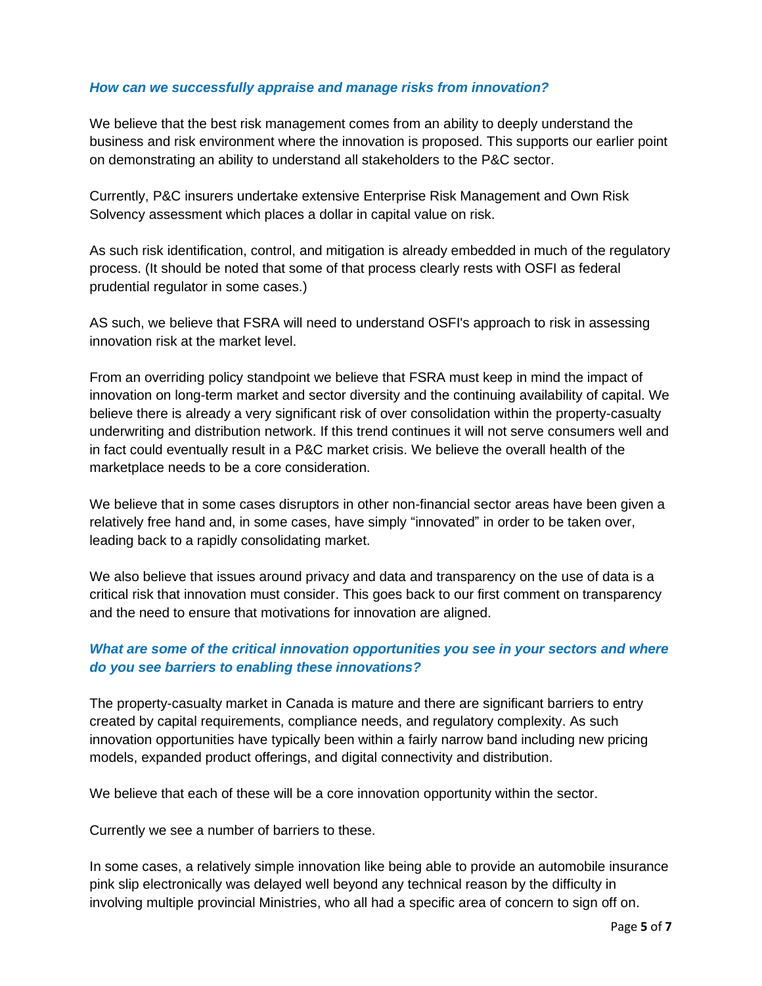#### *How can we successfully appraise and manage risks from innovation?*

We believe that the best risk management comes from an ability to deeply understand the business and risk environment where the innovation is proposed. This supports our earlier point on demonstrating an ability to understand all stakeholders to the P&C sector.

Currently, P&C insurers undertake extensive Enterprise Risk Management and Own Risk Solvency assessment which places a dollar in capital value on risk.

As such risk identification, control, and mitigation is already embedded in much of the regulatory process. (It should be noted that some of that process clearly rests with OSFI as federal prudential regulator in some cases.)

AS such, we believe that FSRA will need to understand OSFI's approach to risk in assessing innovation risk at the market level.

From an overriding policy standpoint we believe that FSRA must keep in mind the impact of innovation on long-term market and sector diversity and the continuing availability of capital. We believe there is already a very significant risk of over consolidation within the property-casualty underwriting and distribution network. If this trend continues it will not serve consumers well and in fact could eventually result in a P&C market crisis. We believe the overall health of the marketplace needs to be a core consideration.

We believe that in some cases disruptors in other non-financial sector areas have been given a relatively free hand and, in some cases, have simply "innovated" in order to be taken over, leading back to a rapidly consolidating market.

We also believe that issues around privacy and data and transparency on the use of data is a critical risk that innovation must consider. This goes back to our first comment on transparency and the need to ensure that motivations for innovation are aligned.

# *What are some of the critical innovation opportunities you see in your sectors and where do you see barriers to enabling these innovations?*

The property-casualty market in Canada is mature and there are significant barriers to entry created by capital requirements, compliance needs, and regulatory complexity. As such innovation opportunities have typically been within a fairly narrow band including new pricing models, expanded product offerings, and digital connectivity and distribution.

We believe that each of these will be a core innovation opportunity within the sector.

Currently we see a number of barriers to these.

In some cases, a relatively simple innovation like being able to provide an automobile insurance pink slip electronically was delayed well beyond any technical reason by the difficulty in involving multiple provincial Ministries, who all had a specific area of concern to sign off on.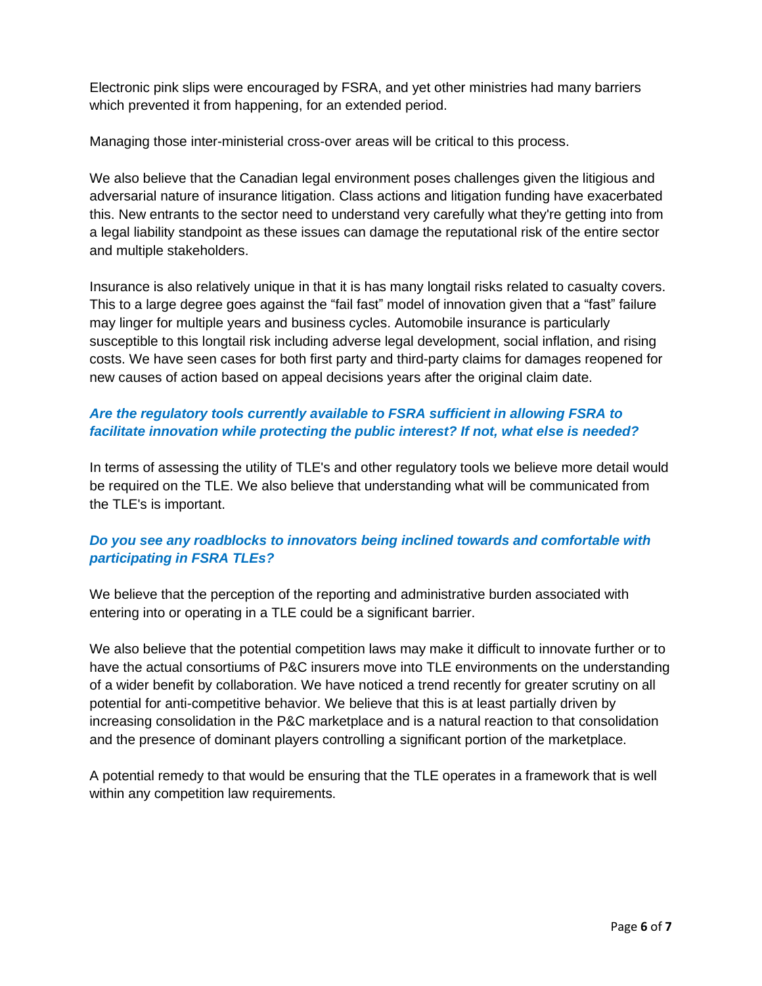Electronic pink slips were encouraged by FSRA, and yet other ministries had many barriers which prevented it from happening, for an extended period.

Managing those inter-ministerial cross-over areas will be critical to this process.

We also believe that the Canadian legal environment poses challenges given the litigious and adversarial nature of insurance litigation. Class actions and litigation funding have exacerbated this. New entrants to the sector need to understand very carefully what they're getting into from a legal liability standpoint as these issues can damage the reputational risk of the entire sector and multiple stakeholders.

Insurance is also relatively unique in that it is has many longtail risks related to casualty covers. This to a large degree goes against the "fail fast" model of innovation given that a "fast" failure may linger for multiple years and business cycles. Automobile insurance is particularly susceptible to this longtail risk including adverse legal development, social inflation, and rising costs. We have seen cases for both first party and third-party claims for damages reopened for new causes of action based on appeal decisions years after the original claim date.

## *Are the regulatory tools currently available to FSRA sufficient in allowing FSRA to facilitate innovation while protecting the public interest? If not, what else is needed?*

In terms of assessing the utility of TLE's and other regulatory tools we believe more detail would be required on the TLE. We also believe that understanding what will be communicated from the TLE's is important.

# *Do you see any roadblocks to innovators being inclined towards and comfortable with participating in FSRA TLEs?*

We believe that the perception of the reporting and administrative burden associated with entering into or operating in a TLE could be a significant barrier.

We also believe that the potential competition laws may make it difficult to innovate further or to have the actual consortiums of P&C insurers move into TLE environments on the understanding of a wider benefit by collaboration. We have noticed a trend recently for greater scrutiny on all potential for anti-competitive behavior. We believe that this is at least partially driven by increasing consolidation in the P&C marketplace and is a natural reaction to that consolidation and the presence of dominant players controlling a significant portion of the marketplace.

A potential remedy to that would be ensuring that the TLE operates in a framework that is well within any competition law requirements.